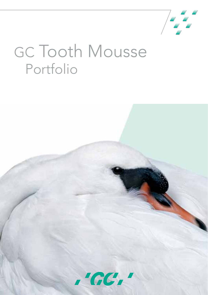

# GC Tooth Mousse Portfolio

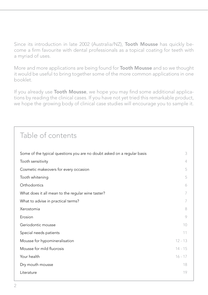Since its introduction in late 2002 (Australia/NZ), **Tooth Mousse** has quickly become a firm favourite with dental professionals as a topical coating for teeth with a myriad of uses.

More and more applications are being found for **Tooth Mousse** and so we thought it would be useful to bring together some of the more common applications in one booklet.

If you already use Tooth Mousse, we hope you may find some additional applications by reading the clinical cases. If you have not yet tried this remarkable product, we hope the growing body of clinical case studies will encourage you to sample it.

## Table of contents Some of the typical questions you are no doubt asked on a regular basis  $\frac{3}{3}$ Tooth sensitivity 4 and 2008 1 and 2008 1 and 2008 1 and 2008 1 and 2008 1 and 2008 1 and 2008 1 and 2008 1 and 2008 1  $\pm 1$ Cosmetic makeovers for every occasion 5 Tooth whitening 5 and 5 and 5 and 5 and 5 and 5 and 5 and 5 and 5 and 5 and 5 and 5 and 5 and 5 and 5 and 5 and 5 and 5 and 5 and 5 and 5 and 5 and 5 and 5 and 5 and 5 and 5 and 5 and 5 and 5 and 5 and 5 and 5 and 5 and 5 Orthodontics 6 What does it all mean to the regular wine taster? The results of the regular wine taster? What to advise in practical terms? 7 Xerostomia 8 Erosion 9 Geriodontic mousse 10 Special needs patients 11 Mousse for hypomineralisation 12 - 13 Mousse for mild fluorosis  $14 - 15$ **Your health 16 - 17**  $\sim$  17  $\sim$  17  $\sim$  16  $\sim$  17  $\sim$  17  $\sim$  17  $\sim$  17  $\sim$  17  $\sim$  17  $\sim$  17  $\sim$  17  $\sim$  17  $\sim$  17  $\sim$  17  $\sim$  17  $\sim$  17  $\sim$  17  $\sim$  17  $\sim$  17  $\sim$  17  $\sim$  17  $\sim$  17  $\sim$  17  $\sim$  17  $\sim$  17 **Dry mouth mousse** 18 Literature 2014 - 2022 - 2022 - 2022 - 2022 - 2022 - 2022 - 2022 - 2022 - 2022 - 2022 - 2022 - 2022 - 2022 - 20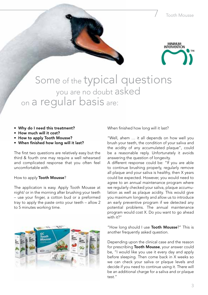

## Some of the typical questions you are no doubt asked on a regular basis are:

- • Why do I need this treatment?
- How much will it cost?
- How to apply Tooth Mousse?
- • When finished how long will it last?

The first two questions are relatively easy but the third & fourth one may require a well rehearsed and complicated response that you often feel uncomfortable with.

How to apply Tooth Mousse?

The application is easy. Apply Tooth Mousse at night/ or in the morning after brushing your teeth – use your finger, a cotton bud or a preformed tray to apply the paste onto your teeth – allow 2 to 5 minutes working time.



When finished how long will it last?

"Well, ahem … it all depends on how well you brush your teeth, the condition of your saliva and the acidity of any accumulated plaque", could be a reasonable reply. Unfortunately it avoids answering the question of longevity.

A different response could be: "If you are able to continue brushing properly, regularly remove all plaque and your saliva is healthy, then X years could be expected. However, you would need to agree to an annual maintenance program where we regularly checked your saliva, plaque accumulation as well as plaque acidity. This would give you maximum longevity and allow us to introduce an early preventive program if we detected any potential problems. The annual maintenance program would cost X. Do you want to go ahead with it?"

"How long should I use Tooth Mousse?" This is another frequently asked question.

Depending upon the clinical case and the reason for prescribing Tooth Mousse, your answer could be, "I would like you use it every day and apply before sleeping. Then come back in X weeks so we can check your saliva or plaque levels and decide if you need to continue using it. There will be an additional charge for a saliva and or plaque test."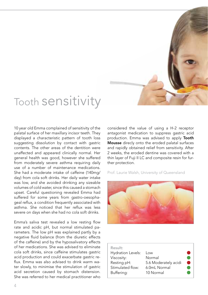

## Tooth sensitivity

10 year old Emma complained of sensitivity of the palatal surface of her maxillary incisor teeth. They displayed a characteristic pattern of tooth loss suggesting dissolution by contact with gastric contents. The other areas of the dentition were unaffected and appeared clinically normal. Her general health was good, however she suffered from moderately severe asthma requiring daily use of a number of maintenance medications. She had a moderate intake of caffeine (140mg/ day) from cola soft drinks. Her daily water intake was low, and she avoided drinking any sizeable volumes of cold water, since this caused a stomach upset. Careful questioning revealed Emma had suffered for some years from gastro-oesophageal reflux, a condition frequently associated with asthma. She noticed that her reflux was less severe on days when she had no cola soft drinks.

Emma's saliva test revealed a low resting flow rate and acidic pH, but normal stimulated parameters. The low pH was explained partly by a negative fluid balance (from the diuretic effects of the caffeine) and by the hyposalivatory effects of her medications. She was advised to eliminate cola soft drinks, since caffeine stimulates gastric acid production and could exacerbate gastric reflux. Emma was also advised to drink warm water slowly, to minimise the stimulation of gastric acid secretion caused by stomach distension. She was referred to her medical practitioner who considered the value of using a H-2 receptor antagonist medication to suppress gastric acid production. Emma was advised to apply Tooth Mousse direcly onto the eroded palatal surfaces and rapidly obtained relief from sensitivity. After 2 weeks, the eroded dentine was covered with a thin layer of Fuji II LC and composite resin for further protection.



| Result:                  |                      |  |
|--------------------------|----------------------|--|
| <b>Hydration Levels:</b> | Low                  |  |
| Viscosity:               | Normal               |  |
| Resting pH:              | 5.6 Moderately acidi |  |
| Stimulated flow:         | 6.0mL Normal         |  |
| Buffering:               | 10 Normal            |  |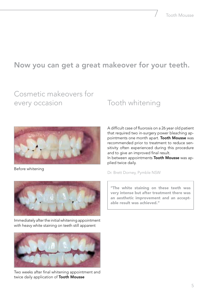## Now you can get a great makeover for your teeth.

## Cosmetic makeovers for every occasion

## Tooth whitening



Before whitening

A difficult case of fluorosis on a 26 year old patient that required two in-surgery power bleaching appointments one month apart. Tooth Mousse was recommended prior to treatment to reduce sensitivity often experienced during this procedure and to give an improved final result. In between appointments Tooth Mousse was applied twice daily.

Dr. Brett Dorney, Pymble NSW



Immediately after the initial whitening appointment with heavy white staining on teeth still apparent



Two weeks after final whitening appointment and twice daily application of Tooth Mousse

"The white staining on these teeth was very intense but after treatment there was an aesthetic improvement and an acceptable result was achieved."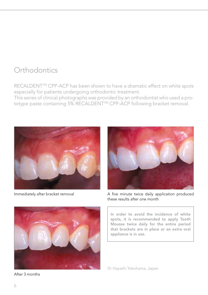## **Orthodontics**

RECALDENT™ CPP-ACP has been shown to have a dramatic effect on white spots especially for patients undergoing orthodontic treatment.

This series of clinical photographs was provided by an orthodontist who used a prototype paste containing 5% RECALDENT™ CPP-ACP following bracket removal.





After 3 months



Immediately after bracket removal A five minute twice daily application produced these results after one month

In order to avoid the incidence of white spots, it is recommended to apply Tooth Mousse twice daily for the entire period that brackets are in place or an extra oral appliance is in use.

Dr Hayashi Yokohama, Japan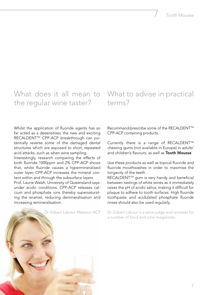# the regular wine taster?

### What does it all mean to What to advise in practical terms?

Whilst the application of fluoride agents has so far acted as a desensitiser, the new and exciting RECALDENT™ CPP-ACP breakthrough can potentially reverse some of the damaged dental structures which are exposed to short, repeated acid attacks, such as when wine sampling.

Interestingly, research comparing the effects of both fluoride 1000ppm and 2% CPP-ACP shows that, whilst fluoride causes a hypermineralised outer layer, CPP-ACP increases the mineral content within and through the subsurface layers.

Prof. Laurie Walsh, University of Queensland says: under acidic conditions, CPP-ACP releases calcium and phosphate ions thereby supersaturating the enamel, reducing demineralisation and increasing remineralisation.

Recommend/prescribe some of the RECALDENT™ CPP-ACP containing products.

Currently there is a range of RECALDENT™ chewing gums (not available in Europe) in adults' and children's flavours, as well as Tooth Mousse.

Use these products as well as topical fluoride and fluoride mouthwashes in order to maximise the longevity of the teeth.

RECALDENT<sup>™</sup> gum is very handy and beneficial between tastings of white wines as it immediately raises the pH of acidic saliva, making it difficult for plaque to adhere to tooth surfaces. High fluoride toothpaste and acidulated phosphate fluoride rinses should also be used regularly.



Dr Gilbert Labour is a wine judge and reviewer for a number of food and wine magazines.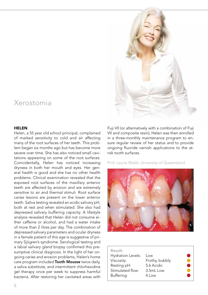### Xerostomia

#### HELEN

Helen, a 55 year old school principal, complained of marked sensitivity to cold and air affecting many of the root surfaces of her teeth. This problem began six months ago but has become more severe over time. She has also noticed small cavitations appearing on some of the root surfaces. Coincidentally, Helen has noticed increasing dryness in both her mouth and eyes. Her general health is good and she has no other health problems. Clinical examination revealed that the exposed root surfaces of the maxillary anterior teeth are affected by erosion and are extremely sensitive to air and thermal stimuli. Root surface caries lesions are present on the lower anterior teeth. Saliva testing revealed an acidic salivary pH, both at rest and when stimulated. She also had depressed salivary buffering capacity. A lifestyle analysis revealed that Helen did not consume either caffeine or alcohol, and had a water intake of more than 2 litres per day. The combination of depressed salivary parameters and ocular dryness in a female patient of this age is suggestive of primary Sjögren's syndrome. Serological testing and a labial salivary gland biopsy confirmed this presumptive clinical diagnosis. In the light of her ongoing caries and erosion problems, Helen's home care program included **Tooth Mousse** twice daily, a saliva substitute, and intermittent chlorhexidine gel therapy once per week to suppress harmful bacteria. After restoring her cavitated areas with



Fuji VII (or alternatively with a combination of Fuji VII and composite resin), Helen was then enrolled in a three-monthly maintenance program to ensure regular review of her status and to provide ongoing fluoride varnish applications to the atrisk tooth surfaces.



| Result:                  |                  |  |
|--------------------------|------------------|--|
| <b>Hydration Levels:</b> | Low              |  |
| Viscosity:               | Frothy, bubbly   |  |
| Resting pH:              | 5.6 Acidic       |  |
| Stimulated flow:         | 3.5mL Low        |  |
| Buffering:               | $4 \mid \circ w$ |  |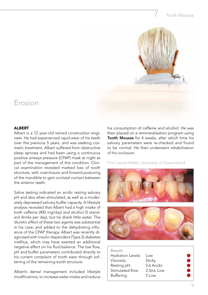### Tooth Mousse



### Erosion

#### **ALBERT**

Albert is a 72 year-old retired construction engineer. He had experienced rapid wear of his teeth over the previous 5 years, and was seeking cosmetic treatment. Albert suffered from obstructive sleep apnoea and had been using a continuous positive airways pressure (CPAP) mask at night as part of the management of this condition. Clinical examination revealed marked loss of tooth structure, with overclosure and forward posturing of the mandible to gain occlusal contact between the anterior teeth.

Saliva testing indicated an acidic resting salivary pH and also when stimulated, as well as a moderately depressed salivary buffer capacity. A lifestyle analysis revealed that Albert had a high intake of both caffeine (400 mg/day) and alcohol (5 standard drinks per day), but he drank little water. The diuretic effect of these two agents was substantial in his case, and added to the dehydrating influence of the CPAP therapy. Albert was recently diagnosed with insulin-dependent (Type 2) diabetes mellitus, which may have exerted an additional negative effect on his fluid balance. The low flow, pH and buffer parameters contributed directly to his current complaint of tooth wear through softening of the remaining tooth structure.

Albert's dental management included lifestyle modifications, to increase water intake and reduce

his consumption of caffeine and alcohol. He was then placed on a remineralisation program using Tooth Mousse for 4 weeks, after which time his salivary parameters were re-checked and found to be normal. He then underwent rehabilitation of his occlusion.



| Result:                  |            |  |
|--------------------------|------------|--|
| <b>Hydration Levels:</b> | Low        |  |
| Viscosity:               | Sticky     |  |
| Resting pH:              | 5.6 Acidic |  |
| Stimulated flow:         | 2.5mL Low  |  |
| Buffering:               | 5 Low      |  |
|                          |            |  |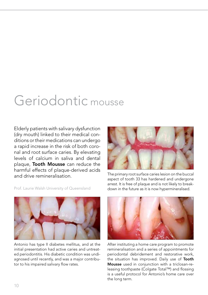## Geriodontic mousse

Elderly patients with salivary dysfunction (dry mouth) linked to their medical conditions or their medications can undergo a rapid increase in the risk of both coronal and root surface caries. By elevating levels of calcium in saliva and dental plaque, Tooth Mousse can reduce the harmful effects of plaque-derived acids and drive remineralisation.



The primary root surface caries lesion on the buccal aspect of tooth 33 has hardened and undergone arrest. It is free of plaque and is not likely to breakdown in the future as it is now hypermineralised.

Prof. Laurie Walsh University of Queensland



Antonio has type II diabetes mellitus, and at the initial presentation had active caries and untreated periodontitis. His diabetic condition was undiagnosed until recently, and was a major contributor to his impaired salivary flow rates.



After instituting a home care program to promote remineralisation and a series of appointments for periodontal debridement and restorative work, the situation has improved. Daily use of Tooth Mousse used in conjunction with a triclosan-releasing toothpaste (Colgate Total™) and flossing is a useful protocol for Antonio's home care over the long term.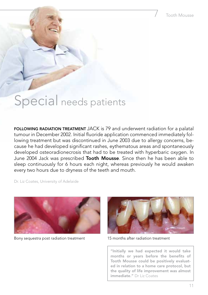## Special needs patients

FOLLOWING RADIATION TREATMENT JACK is 79 and underwent radiation for a palatal tumour in December 2002. Initial fluoride application commenced immediately following treatment but was discontinued in June 2003 due to allergy concerns, because he had developed significant rashes, eythematous areas and spontaneously developed osteoradionecrosis that had to be treated with hyperbaric oxygen. In June 2004 Jack was prescribed Tooth Mousse. Since then he has been able to sleep continuously for 6 hours each night, whereas previously he would awaken every two hours due to dryness of the teeth and mouth.

Dr. Liz Coates, University of Adelaide



Bony sequestra post radiation treatment 15 months after radiation treatment



"Initially we had expected it would take months or years before the benefits of Tooth Mousse could be positively evaluated in relation to a home care protocol, but the quality of life improvement was almost immediate." Dr Liz Coates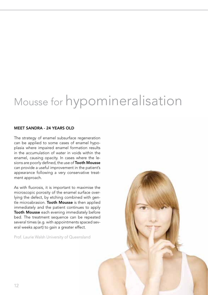# Mousse for hypomineralisation

### MEET SANDRA - 24 YEARS OLD

The strategy of enamel subsurface regeneration can be applied to some cases of enamel hypoplasia where impaired enamel formation results in the accumulation of water in voids within the enamel, causing opacity. In cases where the lesions are poorly defined, the use of Tooth Mousse can provide a useful improvement in the patient's appearance following a very conservative treatment approach.

As with fluorosis, it is important to maximise the microscopic porosity of the enamel surface overlying the defect, by etching combined with gentle microabrasion. Tooth Mousse is then applied immediately and the patient continues to apply Tooth Mousse each evening immediately before bed. The treatment sequence can be repeated several times (e.g. with appointments spaced several weeks apart) to gain a greater effect.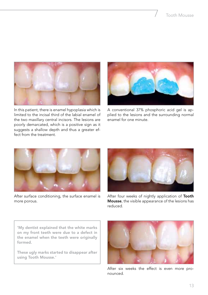

In this patient, there is enamel hypoplasia which is limited to the incisal third of the labial enamel of the two maxillary central incisors. The lesions are poorly demarcated, which is a positive sign as it suggests a shallow depth and thus a greater effect from the treatment.



A conventional 37% phosphoric acid gel is applied to the lesions and the surrounding normal enamel for one minute.



After surface conditioning, the surface enamel is more porous.



After four weeks of nightly application of Tooth Mousse, the visible appearance of the lesions has reduced.

'My dentist explained that the white marks on my front teeth were due to a defect in the enamel when the teeth were originally formed.

These ugly marks started to disappear after using Tooth Mousse.'



After six weeks the effect is even more pronounced.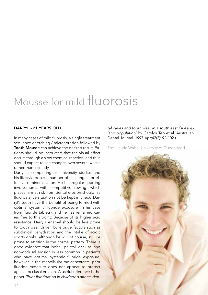## Mousse for mild fluorosis

#### DARRYL - 21 YEARS OLD

In many cases of mild fluorosis, a single treatment sequence of etching / microabrasion followed by Tooth Mousse can achieve the desired result. Patients should be instructed that the visual effect occurs through a slow chemical reaction, and thus should expect to see changes over several weeks rather than instantly.

Darryl is completing his university studies and his lifestyle poses a number of challenges for effective remineralisation. He has regular sporting involvements with competitive rowing, which places him at risk from dental erosion should his fluid balance situation not be kept in check. Darryl's teeth have the benefit of being formed with optimal systemic fluoride exposure (in his case from fluoride tablets), and he has remained caries free to this point. Because of its higher acid resistance, Darryl's enamel should be less prone to tooth wear driven by erosive factors such as subclinical dehydration and the intake of acidic sports drinks, although he will, of course, still be prone to attrition in the normal pattern. There is good evidence that incisal, palatal, occlusal and non-occlusal erosion is less common in patients who have optimal systemic fluoride exposure, however in the mandibular molar sextants, prior fluoride exposure does not appear to protect against occlusal erosion. A useful reference is the paper *'Prior fluoridation in childhood affects den-*

*tal caries and tooth wear in a south east Queensland population'* by Carolyn Teo et al. Australian Dental Journal. 1997 Apr;42(2): 92-102.)

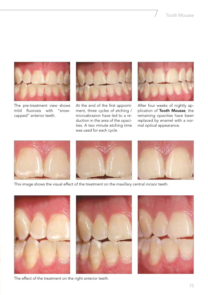

The pre-treatment view shows<br>mild fluorosis with "snowmild fluorosis with capped" anterior teeth.



At the end of the first appointment, three cycles of etching / microabrasion have led to a reduction in the area of the opacities. A two minute etching time was used for each cycle.



After four weeks of nightly application of Tooth Mousse, the remaining opacities have been replaced by enamel with a normal optical appearance.







This image shows the visual effect of the treatment on the maxillary central incisor teeth.







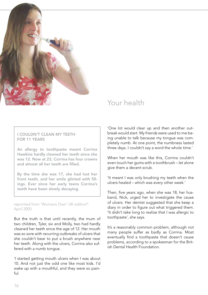

### Your health

### I COULDN'T CLEAN MY TEETH FOR 11 YEARS

An allergy to toothpaste meant Corrina Hawkins hardly cleaned her teeth since she was 12. Now at 23, Corrina has four crowns and almost all her teeth are filled.

By the time she was 17, she had lost her front teeth, and her smile glinted with fillings. Ever since her early teens Corrina's teeth have been slowly decaying.

reprinted from 'Womans Own' UK edition\* April 2005

But the truth is that until recently, the mum of two children, Tyler, six and Molly, two had hardly cleaned her teeth since the age of 12. Her mouth was so sore with recurring outbreaks of ulcers that she couldn't bear to put a brush anywhere near her teeth. Along with the ulcers, Corrina also suffered with a numb tongue.

'I started getting mouth ulcers when I was about 10. And not just the odd one like most kids. I'd wake up with a mouthful, and they were so painful.

'One lot would clear up and then another outbreak would start. My friends were used to me being unable to talk because my tongue was completely numb. At one point, the numbness lasted three days. I couldn't say a word the whole time.'

When her mouth was like this, Corrina couldn't even touch her gums with a toothbrush – let alone give them a decent scrub.

'It meant I was only brushing my teeth when the ulcers healed – which was every other week.'

Then, five years ago, when she was 18, her husband, Nick, urged her to investigate the cause of ulcers. Her dentist suggested that she keep a diary in order to figure out what triggered them. 'It didn't take long to realize that I was allergic to toothpaste', she says.

It's a reasonably common problem, although not many people suffer as badly as Corrina. Most eventually find a toothpaste that doesn't cause problems, according to a spokesman for the British Dental Health Foundation.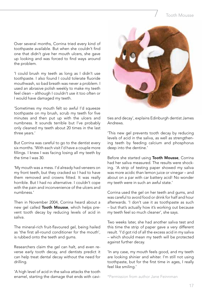### Tooth Mousse

Over several months, Corrina tried every kind of toothpaste available. But when she couldn't find one that didn't give her mouth ulcers, she gave up looking and was forced to find ways around the problem.

'I could brush my teeth as long as I didn't use toothpaste. I also found I could tolerate fluoride mouthwash, so bad breath was never a problem. I used an abrasive polish weekly to make my teeth feel clean – although I couldn't use it too often or I would have damaged my teeth.

'Sometimes my mouth felt so awful I'd squeeze toothpaste on my brush, scrub my teeth for five minutes and then put up with the ulcers and numbness. It sounds terrible but I've probably only cleaned my teeth about 20 times in the last three years.'

But Corrina was careful to go to the dentist every six months. 'With each visit I'd have a couple more fillings. I knew I was facing losing all my teeth by the time I was 30.

'My mouth was a mess. I'd already had veneers on my front teeth, but they cracked so I had to have them removed and crowns fitted. It was really horrible. But I had no alternative. I couldn't cope with the pain and inconvenience of the ulcers and numbness.'

Then in November 2004, Corrina heard about a new gel called Tooth Mousse, which helps prevent tooth decay by reducing levels of acid in saliva.

The mineral-rich fruit-flavoured gel, being hailed as 'the first all-round conditioner for the mouth', is rubbed onto the teeth and gums.

Researchers claim the gel can halt, and even reverse early tooth decay, and dentists predict it can help treat dental decay without the need for drilling.

'A high level of acid in the saliva attacks the tooth enamel, starting the damage that ends with cavi-



ties and decay', explains Edinburgh dentist James Andrews.

'This new gel prevents tooth decay by reducing levels of acid in the saliva, as well as strengthening teeth by feeding calcium and phosphorus deep into the dentine.'

Before she started using Tooth Mousse, Corrina had her saliva measured. The results were shocking. 'A strip of testing paper showed my saliva was more acidic than lemon juice or vinegar – and about on a par with car battery acid! No wonder my teeth were in such an awful state.'

Corrina used the gel on her teeth and gums, and was careful to avoid food or drink for half and hour afterwards. 'I don't use it as toothpaste as such – but that's actually how it's working out because my teeth feel so much cleaner', she says.

Two weeks later, she had another saliva test and this time the strip of paper gave a very different result. 'I'd got rid of all the excess acid in my saliva – which should mean my teeth will be protected against further decay.

'In any case, my mouth feels good, and my teeth are looking shinier and whiter. I'm still not using toothpaste, but for the first time in ages, I really feel like smiling.'

\*Permission from author Jane Feinnman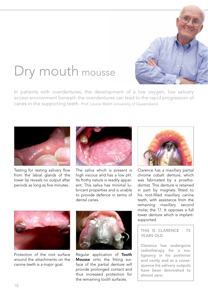# Dry mouth mousse



In patients with overdentures, the development of a low oxygen, low salivary access environment beneath the overdentures can lead to the rapid progression of caries in the supporting teeth. Prof. Laurie Walsh University of Queensland



Testing for resting salivary flow from the labial glands of the lower lip reveals no output after periods as long as five minutes.



The saliva which is present is high viscous and has a low pH. Its frothy nature is readily apparent. This saliva has minimal lubricant properties and is unable to provide defence in terms of dental caries.



Clarence has a maxillary partial chrome cobalt denture, which was fabricated by a prosthodontist. This denture is retained in part by magnets fitted to his root-filled maxillary canine teeth, with assistance from the remaining maxillary second molar, the 17. It opposes a full lower denture which is implantsupported.

### THIS IS CLARENCE - 75 YEARS OLD

Clarence has undergone radiotherapy for a malignancy in his posterior oral cavity and as a consequence his salivary outputs have been diminished to almost zero.



Protection of the root surface around the attachments on the canine teeth is a major goal.



Regular application of Tooth Mousse onto the fitting surface of the partial denture will provide prolonged contact and thus increased protection for the remaining tooth surfaces.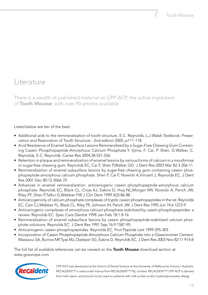### Literature

There is a wealth of published material on CPP-ACP, the active ingredient of Tooth Mousse, with over 90 articles available.

### Listed below are ten of the best:

- • Additional aids to the remineralisation of tooth structure. E.C. Reynolds, L.J.Walsh.Textbook: Preservation and Restoration of Tooth Structure - 2nd edition 2005, p111-118.
- • Acid Resistance of Enamel Subsurface Lesions Remineralized by a Sugar-Free Chewing Gum Containing Casein Phosphopeptide-Amorphous Calcium Phosphate.Y. Iijima, F. Cai, P. Shen, G.Walker, C. Reynolds, E.C. Reynolds. Caries Res 2004;38:551-556.
- Retention in plaque and remineralization of enamel lesions by various forms of calcium in a mouthrinse or sugar-free chewing gum. Reynolds EC, Cai F, Shen P,Walker GD. J Dent Res 2003 Mar 82:3 206-11
- Remineralization of enamel subsurface lesions by sugar-free chewing gum containing casein phosphopeptide-amorphous calcium phosphate. Shen P, Cai F, Nowicki A,Vincent J, Reynolds EC. J Dent Res 2001 Dec 80:12 2066-70
- • Advances in enamel remineralization: anticariogenic casein phosphopeptide-amorphous calcium phosphate. Reynolds EC, Black CL, Cross KJ, Eakins D, Huq NL,Morgan MV, Nowicki A, Perich JW, Riley PF, Shen P,Talbo G,Webber FW J Clin Dent 1999 X(2):86-88
- Anticariogenicity of calcium phosphate complexes of tryptic casein phosphopeptides in the rat. Reynolds EC, Cain CJ,Webber FL, Black CL, Riley PF, Johnson IH, Perich JW. J Dent Res 1995 Jun 74:6 1272-9
- • Anticariogenic complexes of amorphous calcium phosphate stabilized by casein phosphopeptides: a review. Reynolds EC. Spec Care Dentist 1998 Jan-Feb 18:1 8-16
- Remineralization of enamel subsurface lesions by casein phosphopeptide-stabilized calcium phosphate solutions. Reynolds EC. J Dent Res 1997 Sep 76:9 1587-95
- Anticariogenic casein phosphopeptides. Reynolds EC. Prot Peptide Lett 1999 295-303
- Incorporation of Casein Phosphopeptide-Amorphous Calcium Phosphate into a Glassionomer Cement. Mazzaoui SA, Burrow MF,Tyas MJ, Dashper SG, Eakins D, Reynolds EC. J Dent Res 2003 Nov 82:11 914-8

The full list of available references can be viewed on the **Tooth Mousse** download section at www.gceurope.com



CPP-ACP was developed at the School of Dental Science at the University of Melbourne Victoria / Australia. RECALDENT™ is used under licence from RECALDENT™ Pty. Limited. RECALDENT™ CPP-ACP is derived from milk casein, and should not be used on patients with milk protein and/or hydroxybenzoates allergy.